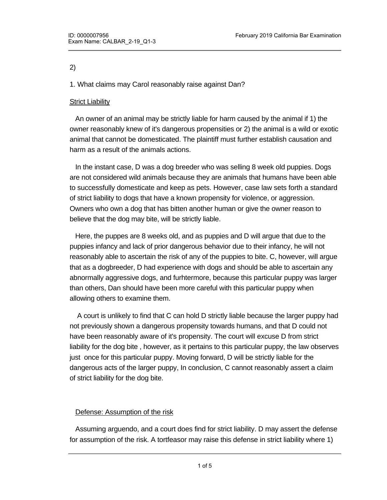#### 2)

1. What claims may Carol reasonably raise against Dan?

## Strict Liability

 An owner of an animal may be strictly liable for harm caused by the animal if 1) the owner reasonably knew of it's dangerous propensities or 2) the animal is a wild or exotic animal that cannot be domesticated. The plaintiff must further establish causation and harm as a result of the animals actions.

 In the instant case, D was a dog breeder who was selling 8 week old puppies. Dogs are not considered wild animals because they are animals that humans have been able to successfully domesticate and keep as pets. However, case law sets forth a standard of strict liability to dogs that have a known propensity for violence, or aggression. Owners who own a dog that has bitten another human or give the owner reason to believe that the dog may bite, will be strictly liable.

 Here, the puppes are 8 weeks old, and as puppies and D will argue that due to the puppies infancy and lack of prior dangerous behavior due to their infancy, he will not reasonably able to ascertain the risk of any of the puppies to bite. C, however, will argue that as a dogbreeder, D had experience with dogs and should be able to ascertain any abnormally aggressive dogs, and furhtermore, because this particular puppy was larger than others, Dan should have been more careful with this particular puppy when allowing others to examine them.

 A court is unlikely to find that C can hold D strictly liable because the larger puppy had not previously shown a dangerous propensity towards humans, and that D could not have been reasonably aware of it's propensity. The court will excuse D from strict liability for the dog bite , however, as it pertains to this particular puppy, the law observes just once for this particular puppy. Moving forward, D will be strictly liable for the dangerous acts of the larger puppy, In conclusion, C cannot reasonably assert a claim of strict liability for the dog bite.

## Defense: Assumption of the risk

 Assuming arguendo, and a court does find for strict liability. D may assert the defense for assumption of the risk. A tortfeasor may raise this defense in strict liability where 1)

the plaintiff reasonably understood the risk and 2) P assumed the risk by engaging in the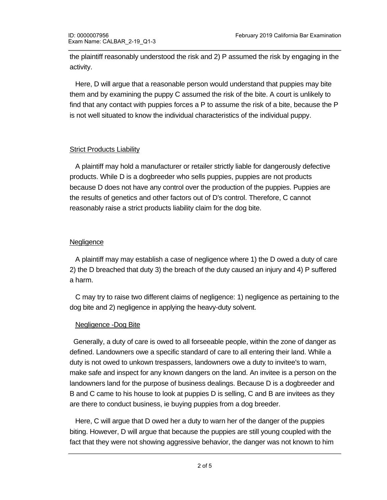the plaintiff reasonably understood the risk and 2) P assumed the risk by engaging in the activity.

 Here, D will argue that a reasonable person would understand that puppies may bite them and by examining the puppy C assumed the risk of the bite. A court is unlikely to find that any contact with puppies forces a P to assume the risk of a bite, because the P is not well situated to know the individual characteristics of the individual puppy.

# Strict Products Liability

 A plaintiff may hold a manufacturer or retailer strictly liable for dangerously defective products. While D is a dogbreeder who sells puppies, puppies are not products because D does not have any control over the production of the puppies. Puppies are the results of genetics and other factors out of D's control. Therefore, C cannot reasonably raise a strict products liability claim for the dog bite.

## **Negligence**

 A plaintiff may may establish a case of negligence where 1) the D owed a duty of care 2) the D breached that duty 3) the breach of the duty caused an injury and 4) P suffered a harm.

 C may try to raise two different claims of negligence: 1) negligence as pertaining to the dog bite and 2) negligence in applying the heavy-duty solvent.

# Negligence -Dog Bite

 Generally, a duty of care is owed to all forseeable people, within the zone of danger as defined. Landowners owe a specific standard of care to all entering their land. While a duty is not owed to unkown trespassers, landowners owe a duty to invitee's to warn, make safe and inspect for any known dangers on the land. An invitee is a person on the landowners land for the purpose of business dealings. Because D is a dogbreeder and B and C came to his house to look at puppies D is selling, C and B are invitees as they are there to conduct business, ie buying puppies from a dog breeder.

 Here, C will argue that D owed her a duty to warn her of the danger of the puppies biting. However, D will argue that because the puppies are still young coupled with the fact that they were not showing aggressive behavior, the danger was not known to him

as discussed above. As such that  $\alpha$  court is likely to not find that  $D$  owed  $C$  and  $\alpha$  duty to warn of  $\alpha$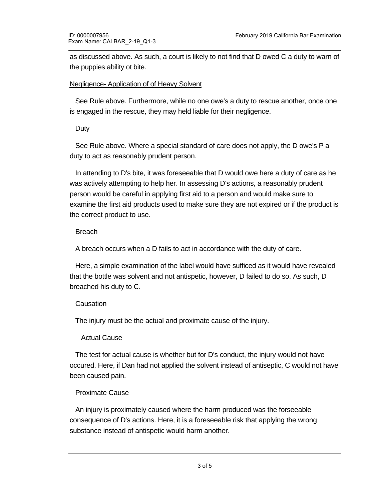as discussed above. As such, a court is likely to not find that D owed C a duty to warn of the puppies ability ot bite.

#### Negligence- Application of of Heavy Solvent

 See Rule above. Furthermore, while no one owe's a duty to rescue another, once one is engaged in the rescue, they may held liable for their negligence.

## Duty

 See Rule above. Where a special standard of care does not apply, the D owe's P a duty to act as reasonably prudent person.

 In attending to D's bite, it was foreseeable that D would owe here a duty of care as he was actively attempting to help her. In assessing D's actions, a reasonably prudent person would be careful in applying first aid to a person and would make sure to examine the first aid products used to make sure they are not expired or if the product is the correct product to use.

## Breach

A breach occurs when a D fails to act in accordance with the duty of care.

 Here, a simple examination of the label would have sufficed as it would have revealed that the bottle was solvent and not antispetic, however, D failed to do so. As such, D breached his duty to C.

# **Causation**

The injury must be the actual and proximate cause of the injury.

# Actual Cause

 The test for actual cause is whether but for D's conduct, the injury would not have occured. Here, if Dan had not applied the solvent instead of antiseptic, C would not have been caused pain.

# Proximate Cause

 An injury is proximately caused where the harm produced was the forseeable consequence of D's actions. Here, it is a foreseeable risk that applying the wrong substance instead of antispetic would harm another.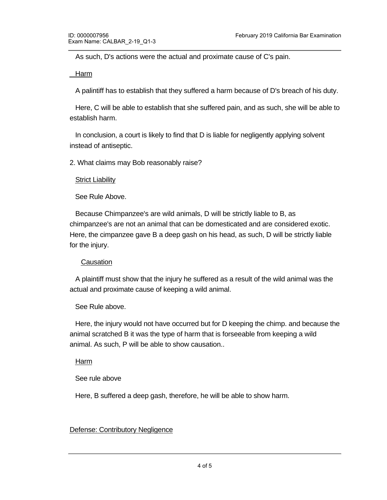As such, D's actions were the actual and proximate cause of C's pain.

Harm

A palintiff has to establish that they suffered a harm because of D's breach of his duty.

 Here, C will be able to establish that she suffered pain, and as such, she will be able to establish harm.

 In conclusion, a court is likely to find that D is liable for negligently applying solvent instead of antiseptic.

2. What claims may Bob reasonably raise?

## **Strict Liability**

See Rule Above.

 Because Chimpanzee's are wild animals, D will be strictly liable to B, as chimpanzee's are not an animal that can be domesticated and are considered exotic. Here, the cimpanzee gave B a deep gash on his head, as such, D will be strictly liable for the injury.

## Causation

 A plaintiff must show that the injury he suffered as a result of the wild animal was the actual and proximate cause of keeping a wild animal.

## See Rule above.

 Here, the injury would not have occurred but for D keeping the chimp. and because the animal scratched B it was the type of harm that is forseeable from keeping a wild animal. As such, P will be able to show causation..

Harm

See rule above

Here, B suffered a deep gash, therefore, he will be able to show harm.

# Defense: Contributory Negligence